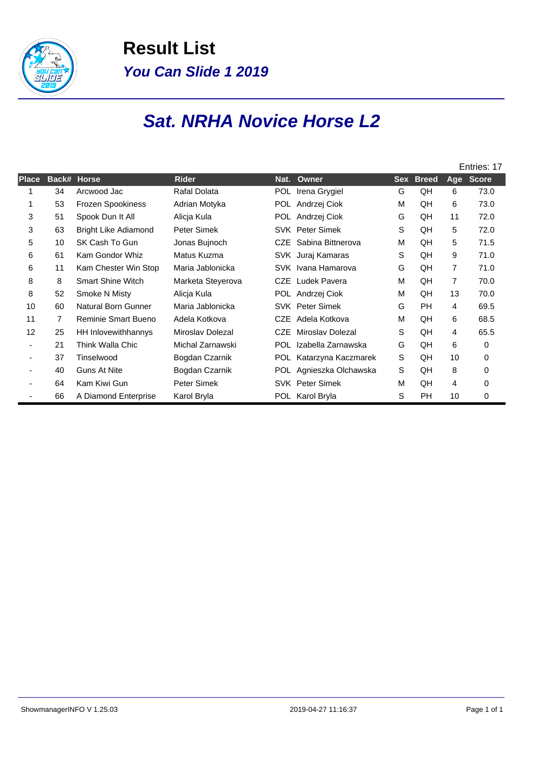

**Result List You Can Slide 1 2019**

## **Sat. NRHA Novice Horse L2**

|              |                |                             |                   |            |                         | Entries: 17 |              |                |              |
|--------------|----------------|-----------------------------|-------------------|------------|-------------------------|-------------|--------------|----------------|--------------|
| <b>Place</b> | Back#          | <b>Horse</b>                | <b>Rider</b>      | Nat.       | Owner                   | Sex         | <b>Breed</b> | Age            | <b>Score</b> |
| 1            | 34             | Arcwood Jac                 | Rafal Dolata      |            | POL Irena Grygiel       | G           | QH           | 6              | 73.0         |
| 1            | 53             | Frozen Spookiness           | Adrian Motyka     |            | POL Andrzej Ciok        | M           | QH           | 6              | 73.0         |
| 3            | 51             | Spook Dun It All            | Alicja Kula       |            | POL Andrzej Ciok        | G           | QH           | 11             | 72.0         |
| 3            | 63             | <b>Bright Like Adiamond</b> | Peter Simek       |            | <b>SVK</b> Peter Simek  | S           | QH           | 5              | 72.0         |
| 5            | 10             | SK Cash To Gun              | Jonas Bujnoch     | CZE        | Sabina Bittnerova       | м           | QH           | 5              | 71.5         |
| 6            | 61             | Kam Gondor Whiz             | Matus Kuzma       |            | SVK Juraj Kamaras       | S           | QH           | 9              | 71.0         |
| 6            | 11             | Kam Chester Win Stop        | Maria Jablonicka  |            | SVK Ivana Hamarova      | G           | QH           | $\overline{7}$ | 71.0         |
| 8            | 8              | <b>Smart Shine Witch</b>    | Marketa Steyerova | CZE        | Ludek Pavera            | м           | QH           | $\overline{7}$ | 70.0         |
| 8            | 52             | Smoke N Misty               | Alicja Kula       |            | POL Andrzej Ciok        | M           | QH           | 13             | 70.0         |
| 10           | 60             | Natural Born Gunner         | Maria Jablonicka  |            | <b>SVK</b> Peter Simek  | G           | <b>PH</b>    | 4              | 69.5         |
| 11           | $\overline{7}$ | <b>Reminie Smart Bueno</b>  | Adela Kotkova     | <b>CZE</b> | Adela Kotkova           | М           | QH           | 6              | 68.5         |
| 12           | 25             | HH Inlovewithhannys         | Miroslav Dolezal  | <b>CZE</b> | Miroslav Dolezal        | S           | QH           | 4              | 65.5         |
|              | 21             | Think Walla Chic            | Michal Zarnawski  | <b>POL</b> | Izabella Zarnawska      | G           | QH           | 6              | 0            |
|              | 37             | Tinselwood                  | Bogdan Czarnik    | POL        | Katarzyna Kaczmarek     | S           | QH           | 10             | 0            |
|              | 40             | <b>Guns At Nite</b>         | Bogdan Czarnik    |            | POL Agnieszka Olchawska | S           | QH           | 8              | 0            |
|              | 64             | Kam Kiwi Gun                | Peter Simek       |            | <b>SVK</b> Peter Simek  | M           | QH           | 4              | 0            |
|              | 66             | A Diamond Enterprise        | Karol Bryla       |            | POL Karol Bryla         | S           | PH           | 10             | 0            |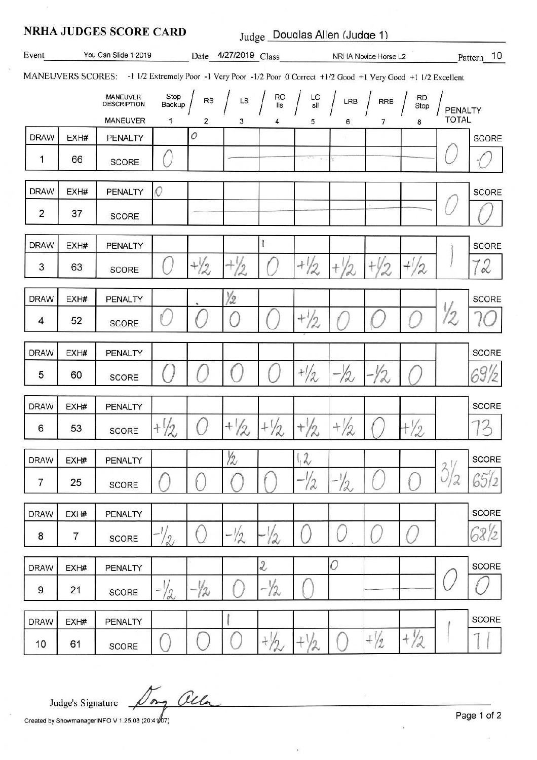| <b>NRHA JUDGES SCORE CARD</b><br>Judge Doualas Allen (Judge 1)                                                   |      |                                                   |                     |                                           |                 |                            |                                                                                                                                        |                 |                |                        |                         |              |
|------------------------------------------------------------------------------------------------------------------|------|---------------------------------------------------|---------------------|-------------------------------------------|-----------------|----------------------------|----------------------------------------------------------------------------------------------------------------------------------------|-----------------|----------------|------------------------|-------------------------|--------------|
| Event<br>You Can Slide 1 2019                                                                                    |      |                                                   |                     | Date 4/27/2019 Class NRHA Novice Horse L2 |                 |                            |                                                                                                                                        |                 | Pattern 10     |                        |                         |              |
| MANEUVERS SCORES: -1 1/2 Extremely Poor -1 Very Poor -1/2 Poor 0 Correct +1/2 Good +1 Very Good +1 1/2 Excellent |      |                                                   |                     |                                           |                 |                            |                                                                                                                                        |                 |                |                        |                         |              |
|                                                                                                                  |      | MANEUVER<br><b>DESCRIPTION</b><br><b>MANEUVER</b> | Stop<br>Backup<br>1 | RS<br>2                                   | 3               | 4                          | $\begin{array}{c c c c c c c c} \hline \rule{0pt}{1em} & \text{LS} & \text{RC} & \text{LC} & \text{LRB} & \text{RRB} \end{array}$<br>5 | 6               | $\overline{7}$ | <b>RD</b><br>Stop<br>8 | PENALTY<br><b>TOTAL</b> |              |
| <b>DRAW</b>                                                                                                      | EXH# | <b>PENALTY</b>                                    |                     | 0                                         |                 |                            |                                                                                                                                        |                 |                |                        |                         | SCORE        |
| 1                                                                                                                | 66   | <b>SCORE</b>                                      |                     |                                           |                 |                            |                                                                                                                                        |                 |                |                        |                         |              |
| <b>DRAW</b>                                                                                                      | EXH# | PENALTY                                           | 0                   |                                           |                 |                            |                                                                                                                                        |                 |                |                        |                         | <b>SCORE</b> |
| $\overline{2}$                                                                                                   | 37   | <b>SCORE</b>                                      |                     |                                           |                 |                            |                                                                                                                                        |                 |                |                        |                         |              |
| <b>DRAW</b>                                                                                                      | EXH# | PENALTY                                           |                     |                                           |                 |                            |                                                                                                                                        |                 |                |                        |                         | <b>SCORE</b> |
| 3                                                                                                                | 63   | <b>SCORE</b>                                      |                     | $+ \frac{1}{2}$                           | $^{+}$<br>2     |                            | $+1/2$                                                                                                                                 |                 |                | 2                      |                         | 12           |
| <b>DRAW</b>                                                                                                      | EXH# | PENALTY                                           |                     |                                           | Y2              |                            |                                                                                                                                        |                 |                |                        |                         | <b>SCORE</b> |
| 4                                                                                                                | 52   | <b>SCORE</b>                                      |                     |                                           |                 |                            | $^{+1/2}$                                                                                                                              |                 |                |                        | 2                       |              |
| <b>DRAW</b>                                                                                                      | EXH# | PENALTY                                           |                     |                                           |                 |                            |                                                                                                                                        |                 |                |                        |                         | <b>SCORE</b> |
| 5                                                                                                                | 60   | SCORE                                             |                     |                                           |                 |                            | $\frac{1}{2}$                                                                                                                          | $-22$           |                |                        |                         |              |
| <b>DRAW</b>                                                                                                      | EXH# | PENALTY                                           |                     |                                           |                 |                            |                                                                                                                                        |                 |                |                        |                         | <b>SCORE</b> |
| 6                                                                                                                | 53   | <b>SCORE</b>                                      | $+1/2$              |                                           | $+ \frac{1}{2}$ | $+ \frac{1}{2}$            | $+ \frac{1}{2}$                                                                                                                        | $+ \frac{1}{2}$ |                | $+\frac{1}{2}$         |                         | 73           |
| <b>DRAW</b>                                                                                                      | EXH# | <b>PENALTY</b>                                    |                     |                                           | 12              |                            | 12                                                                                                                                     |                 |                |                        |                         | <b>SCORE</b> |
| 7                                                                                                                | 25   | SCORE                                             |                     |                                           |                 |                            | $-1/2$                                                                                                                                 | $-1/2$          |                |                        | $3^{1/2}$<br>12         | 65/2         |
| <b>DRAW</b>                                                                                                      | EXH# | <b>PENALTY</b>                                    |                     |                                           |                 |                            |                                                                                                                                        |                 |                |                        |                         | <b>SCORE</b> |
| 8                                                                                                                | 7    | SCORE                                             | $\frac{1}{2}$       |                                           | $-1/2$          | 12                         |                                                                                                                                        |                 |                |                        |                         | 6812         |
| <b>DRAW</b>                                                                                                      | EXH# | PENALTY                                           |                     |                                           |                 | $\ensuremath{\mathcal{Z}}$ |                                                                                                                                        | 0               |                |                        |                         | <b>SCORE</b> |
| 9                                                                                                                | 21   | SCORE                                             | $-72$               | $-\frac{1}{2}$                            |                 | $-1/2$                     |                                                                                                                                        |                 |                |                        |                         |              |
| <b>DRAW</b>                                                                                                      | EXH# | PENALTY                                           |                     |                                           |                 |                            |                                                                                                                                        |                 |                |                        |                         | <b>SCORE</b> |
| 10                                                                                                               | 61   | SCORE                                             |                     |                                           |                 | $+\frac{1}{2}$             | $+\frac{1}{2}$                                                                                                                         |                 | $+\frac{1}{2}$ | $+\frac{1}{2}$         |                         |              |

Dong alla Judge's Signature

Created by ShowmanagerINFO V 1.25.03 (20:4107)

Page 1 of 2

 $\bar{z}$